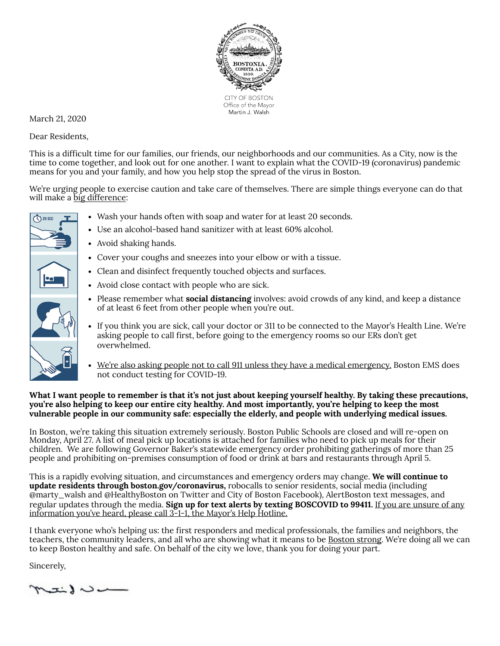

March 21, 2020

Dear Residents,

 $\bigwedge$  20 SEC

This is a difficult time for our families, our friends, our neighborhoods and our communities. As a City, now is the time to come together, and look out for one another. I want to explain what the COVID-19 (coronavirus) pandemic means for you and your family, and how you help stop the spread of the virus in Boston.

We're urging people to exercise caution and take care of themselves. There are simple things everyone can do that will make a big difference:

- Wash your hands often with soap and water for at least 20 seconds.
- Use an alcohol-based hand sanitizer with at least 60% alcohol.
- Avoid shaking hands.
- Cover your coughs and sneezes into your elbow or with a tissue.
- Clean and disinfect frequently touched objects and surfaces.
- Avoid close contact with people who are sick.
- Please remember what **social distancing** involves: avoid crowds of any kind, and keep a distance of at least 6 feet from other people when you're out.
- If you think you are sick, call your doctor or 311 to be connected to the Mayor's Health Line. We're asking people to call first, before going to the emergency rooms so our ERs don't get overwhelmed.
- We're also asking people not to call 911 unless they have a medical emergency. Boston EMS does not conduct testing for COVID-19.

## **What I want people to remember is that it's not just about keeping yourself healthy. By taking these precautions, you're also helping to keep our entire city healthy. And most importantly, you're helping to keep the most vulnerable people in our community safe: especially the elderly, and people with underlying medical issues.**

In Boston, we're taking this situation extremely seriously. Boston Public Schools are closed and will re-open on Monday, April 27. A list of meal pick up locations is attached for families who need to pick up meals for their children. We are following Governor Baker's statewide emergency order prohibiting gatherings of more than 25 people and prohibiting on-premises consumption of food or drink at bars and restaurants through April 5.

This is a rapidly evolving situation, and circumstances and emergency orders may change. **We will continue to update residents through boston.gov/coronavirus,** robocalls to senior residents, social media (including @marty\_walsh an[d @](https://twitter.com/HealthyBoston)HealthyBoston on Twitter and City of Boston Facebook), AlertBoston text messages, and regular updates through the media. **Sign up for text alerts by texting BOSCOVID to 99411.** If you are unsure of any information you've heard, please call 3-1-1, the Mayor's Help Hotline.

I thank everyone who's helping us: the first responders and medical professionals, the families and neighbors, the teachers, the community leaders, and all who are showing what it means to be Boston strong. We're doing all we can to keep Boston healthy and safe. On behalf of the city we love, thank you for doing your part.

Sincerely,

 $m$ il de la interval de la conte